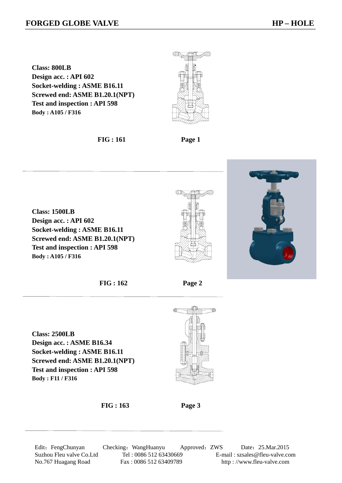**Class: 800LB Design acc. : API 602 Socket-welding : ASME B16.11 Screwed end: ASME B1.20.1(NPT) Test and inspection : API 598 Body : A105 / F316** 

 **FIG : 161 Page 1** 

**Class: 1500LB Design acc. : API 602 Socket-welding : ASME B16.11 Screwed end: ASME B1.20.1(NPT) Test and inspection : API 598 Body : A105 / F316** 





 **FIG : 162 Page 2** 

**Class: 2500LB Design acc. : ASME B16.34 Socket-welding : ASME B16.11 Screwed end: ASME B1.20.1(NPT) Test and inspection : API 598 Body : F11 / F316**





Edit: FengChunyan Checking: WangHuanyu Approved: ZWS Date: 25.Mar.2015 Suzhou Fleu valve Co.Ltd Tel : 0086 512 63430669 E-mail : szsales@fleu-valve.com No.767 Huagang Road Fax : 0086 512 63409789 http : //www.fleu-valve.com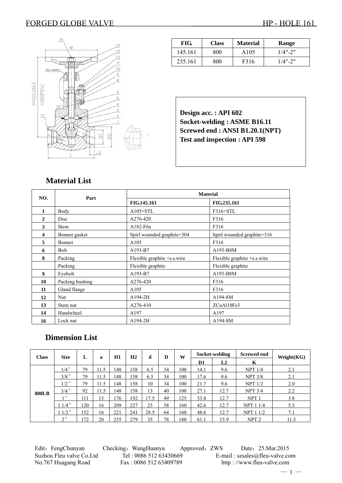### FORGED GLOBE VALVE HP - HOLE 161



| FIG.    | <b>Class</b> | <b>Material</b> | Range       |
|---------|--------------|-----------------|-------------|
| 145.161 | 800          | A105            | $1/4" - 2"$ |
| 235.161 | 800          | F316            | $1/4" - 2"$ |

**Design acc. : API 602 Socket-welding : ASME B16.11 Screwed end : ANSI B1.20.1(NPT) Test and inspection : API 598** 

## **Material List**

| NO.          | Part            | <b>Material</b>             |                             |  |  |
|--------------|-----------------|-----------------------------|-----------------------------|--|--|
|              |                 | FIG.145.161                 | <b>FIG.235.161</b>          |  |  |
| 1            | Body            | $A105 + STL$                | $F316+STL$                  |  |  |
| $\mathbf{2}$ | Disc            | A276-420                    | F316                        |  |  |
| 3            | <b>Stem</b>     | A182-F6a                    | F316                        |  |  |
| 4            | Bonnet gasket   | Spirl wounded graphite+304  | Spirl wounded graphite+316  |  |  |
| 5            | Bonnet          | A105                        | F316                        |  |  |
| 6            | <b>Bolt</b>     | A193-B7                     | A193-B8M                    |  |  |
| 8            | Packing         | Flexible graphite +s.s.wire | Flexible graphite +s.s.wire |  |  |
|              | Packing         | Flexible graphite           | Flexible graphite           |  |  |
| 9            | Eyebolt         | A193-B7                     | A193-B8M                    |  |  |
| 10           | Packing bushing | A276-420                    | F316                        |  |  |
| 11           | Gland flange    | A105                        | F316                        |  |  |
| 12           | Nut             | $A194-2H$                   | A194-8M                     |  |  |
| 13           | Stem nut        | A276-410                    | ZCuAl10Fe3                  |  |  |
| 14           | Handwheel       | A197                        | A197                        |  |  |
| 16           | Lock nut        | A194-2H                     | A194-8M                     |  |  |

### **Dimension List**

| <b>Class</b> | <b>Size</b>       | L   | a    | H1  | H2  | d    | D  | W   | Socket-welding |      | Screwed end      | Weight(KG)    |  |
|--------------|-------------------|-----|------|-----|-----|------|----|-----|----------------|------|------------------|---------------|--|
|              |                   |     |      |     |     |      |    |     | D <sub>1</sub> | L2   | K                |               |  |
|              | $1/4$ "           | 79  | 11.5 | 148 | 158 | 6.5  | 34 | 100 | 14.1           | 9.6  | NPT 1/4          | 2.1           |  |
|              | $3/8$ "           | 79  | 11.5 | 148 | 158 | 6.5  | 34 | 100 | 17.6           | 9.6  | NPT 3/8          | 2.1           |  |
| <b>800LB</b> | $1/2$ "           | 79  | 11.5 | 148 | 158 | 10   | 34 | 100 | 21.7           | 9.6  | NPT 1/2          | 2.0           |  |
|              | $3/4$ "           | 92  | 11.5 | 148 | 158 | 13   | 40 | 100 | 27.1           | 12.7 | NPT 3/4          | $2.2^{\circ}$ |  |
|              | $^{\prime\prime}$ | 111 | 13   | .76 | 192 | 17.5 | 49 | 125 | 33.8           | 12.7 | NPT <sub>1</sub> | 3.8           |  |
|              | $11/4$ "          | 120 | 16   | 209 | 227 | 23   | 58 | 160 | 42.6           | 12.7 | <b>NPT 1 1/4</b> | 5.5           |  |
|              | $1/2$ "           | 152 | 16   | 221 | 241 | 28.5 | 64 | 160 | 48.6           | 12.7 | <b>NPT 1 1/2</b> | 7.1           |  |
|              | 2''               | 172 | 20   | 255 | 279 | 35   | 78 | 180 | 61.1           | 15.9 | NPT <sub>2</sub> | 11.5          |  |

Edit: FengChunyan Checking: WangHuanyu Approved: ZWS Date: 25.Mar.2015 Suzhou Fleu valve Co.Ltd Tel : 0086 512 63430669 E-mail : szsales@fleu-valve.com No.767 Huagang Road Fax : 0086 512 63409789 http : //www.fleu-valve.com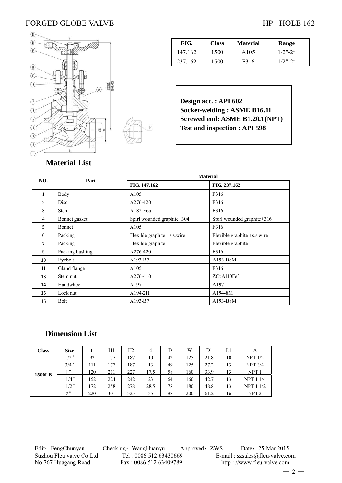### FORGED GLOBE VALVE HP - HOLE 162



| FIG.    | <b>Class</b> | <b>Material</b>  | Range      |
|---------|--------------|------------------|------------|
| 147.162 | 1500         | A <sub>105</sub> | $1/2$ "-2" |
| 237.162 | 1500         | F316             | $1/2$ "-2" |

**Design acc. : API 602 Socket-welding : ASME B16.11 Screwed end: ASME B1.20.1(NPT) Test and inspection : API 598** 

# **Material List**

| NO.          | Part            | <b>Material</b>             |                             |  |  |
|--------------|-----------------|-----------------------------|-----------------------------|--|--|
|              |                 | FIG. 147.162                | FIG. 237.162                |  |  |
| 1            | Body            | A105                        | F316                        |  |  |
| $\mathbf{2}$ | Disc            | A276-420                    | F316                        |  |  |
| 3            | <b>Stem</b>     | A182-F6a                    | F316                        |  |  |
| 4            | Bonnet gasket   | Spirl wounded graphite+304  | Spirl wounded graphite+316  |  |  |
| 5            | Bonnet          | A105                        | F316                        |  |  |
| 6            | Packing         | Flexible graphite +s.s.wire | Flexible graphite +s.s.wire |  |  |
| 7            | Packing         | Flexible graphite           | Flexible graphite           |  |  |
| 9            | Packing bushing | A276-420                    | F316                        |  |  |
| 10           | Eyebolt         | A193-B7                     | A193-B8M                    |  |  |
| 11           | Gland flange    | A105                        | F316                        |  |  |
| 13           | Stem nut        | A276-410                    | ZCuAl10Fe3                  |  |  |
| 14           | Handwheel       | A197                        | A197                        |  |  |
| 15           | Lock nut        | A194-2H                     | A194-8M                     |  |  |
| 16           | Bolt            | A193-B7                     | A193-B8M                    |  |  |

## **Dimension List**

| <b>Class</b>  | <b>Size</b>        | ⊥   | H1  | Н2  |      | D  | W   | D1   | L1 | A                |
|---------------|--------------------|-----|-----|-----|------|----|-----|------|----|------------------|
| <b>1500LB</b> | $1/2$ "            | 92  | 177 | 187 | 10   | 42 | 125 | 21.8 | 10 | NPT 1/2          |
|               | $3/4$ "            | 111 | 177 | 187 | 13   | 49 | 125 | 27.2 | 13 | NPT 3/4          |
|               | $1$ $\prime\prime$ | 120 | 211 | 227 | 17.5 | 58 | 160 | 33.9 | 13 | NPT <sub>1</sub> |
|               | $1/4$ "            | 152 | 224 | 242 | 23   | 64 | 160 | 42.7 | 13 | <b>NPT 1 1/4</b> |
|               | $1/2$ "            | 172 | 258 | 278 | 28.5 | 78 | 180 | 48.8 | 13 | <b>NPT 1 1/2</b> |
|               | $2$ "              | 220 | 301 | 325 | 35   | 88 | 200 | 61.2 | 16 | NPT <sub>2</sub> |

Edit: FengChunyan Checking: WangHuanyu Approved: ZWS Date: 25.Mar.2015 Suzhou Fleu valve Co.Ltd Tel : 0086 512 63430669 E-mail : szsales@fleu-valve.com No.767 Huagang Road Fax : 0086 512 63409789 http : //www.fleu-valve.com

 $-2-$